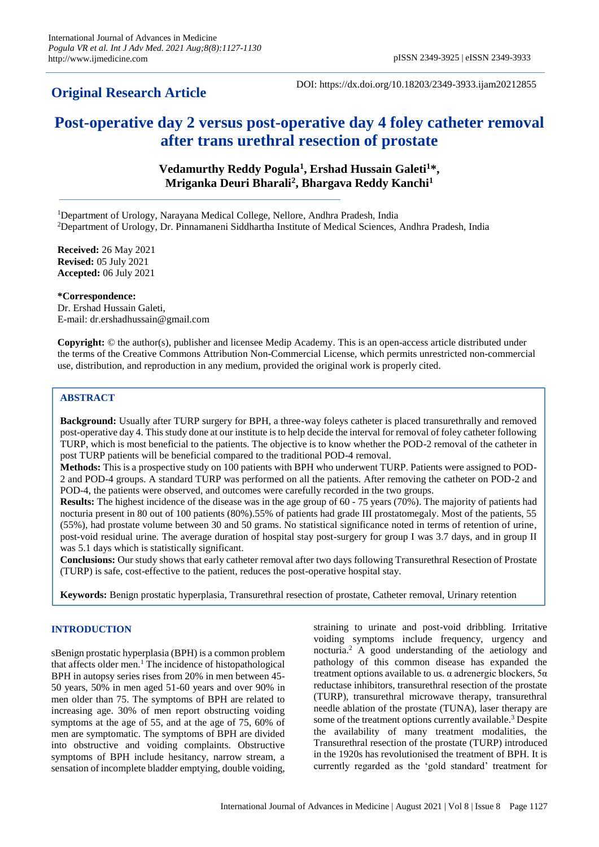# **Original Research Article**

DOI: https://dx.doi.org/10.18203/2349-3933.ijam20212855

# **Post-operative day 2 versus post-operative day 4 foley catheter removal after trans urethral resection of prostate**

# **Vedamurthy Reddy Pogula<sup>1</sup> , Ershad Hussain Galeti<sup>1</sup>\*, Mriganka Deuri Bharali<sup>2</sup> , Bhargava Reddy Kanchi<sup>1</sup>**

<sup>1</sup>Department of Urology, Narayana Medical College, Nellore, Andhra Pradesh, India <sup>2</sup>Department of Urology, Dr. Pinnamaneni Siddhartha Institute of Medical Sciences, Andhra Pradesh, India

**Received:** 26 May 2021 **Revised:** 05 July 2021 **Accepted:** 06 July 2021

**\*Correspondence:** Dr. Ershad Hussain Galeti,

E-mail: dr.ershadhussain@gmail.com

**Copyright:** © the author(s), publisher and licensee Medip Academy. This is an open-access article distributed under the terms of the Creative Commons Attribution Non-Commercial License, which permits unrestricted non-commercial use, distribution, and reproduction in any medium, provided the original work is properly cited.

# **ABSTRACT**

**Background:** Usually after TURP surgery for BPH, a three-way foleys catheter is placed transurethrally and removed post-operative day 4. This study done at our institute is to help decide the interval for removal of foley catheter following TURP, which is most beneficial to the patients. The objective is to know whether the POD-2 removal of the catheter in post TURP patients will be beneficial compared to the traditional POD-4 removal.

**Methods:** This is a prospective study on 100 patients with BPH who underwent TURP. Patients were assigned to POD-2 and POD-4 groups. A standard TURP was performed on all the patients. After removing the catheter on POD-2 and POD-4, the patients were observed, and outcomes were carefully recorded in the two groups.

**Results:** The highest incidence of the disease was in the age group of 60 - 75 years (70%). The majority of patients had nocturia present in 80 out of 100 patients (80%).55% of patients had grade III prostatomegaly. Most of the patients, 55 (55%), had prostate volume between 30 and 50 grams. No statistical significance noted in terms of retention of urine, post-void residual urine. The average duration of hospital stay post-surgery for group I was 3.7 days, and in group II was 5.1 days which is statistically significant.

**Conclusions:** Our study shows that early catheter removal after two days following Transurethral Resection of Prostate (TURP) is safe, cost-effective to the patient, reduces the post-operative hospital stay.

**Keywords:** Benign prostatic hyperplasia, Transurethral resection of prostate, Catheter removal, Urinary retention

# **INTRODUCTION**

sBenign prostatic hyperplasia (BPH) is a common problem that affects older men.<sup>1</sup> The incidence of histopathological BPH in autopsy series rises from 20% in men between 45- 50 years, 50% in men aged 51-60 years and over 90% in men older than 75. The symptoms of BPH are related to increasing age. 30% of men report obstructing voiding symptoms at the age of 55, and at the age of 75, 60% of men are symptomatic. The symptoms of BPH are divided into obstructive and voiding complaints. Obstructive symptoms of BPH include hesitancy, narrow stream, a sensation of incomplete bladder emptying, double voiding,

straining to urinate and post-void dribbling. Irritative voiding symptoms include frequency, urgency and nocturia.<sup>2</sup> A good understanding of the aetiology and pathology of this common disease has expanded the treatment options available to us.  $\alpha$  adrenergic blockers,  $5\alpha$ reductase inhibitors, transurethral resection of the prostate (TURP), transurethral microwave therapy, transurethral needle ablation of the prostate (TUNA), laser therapy are some of the treatment options currently available.<sup>3</sup> Despite the availability of many treatment modalities, the Transurethral resection of the prostate (TURP) introduced in the 1920s has revolutionised the treatment of BPH. It is currently regarded as the 'gold standard' treatment for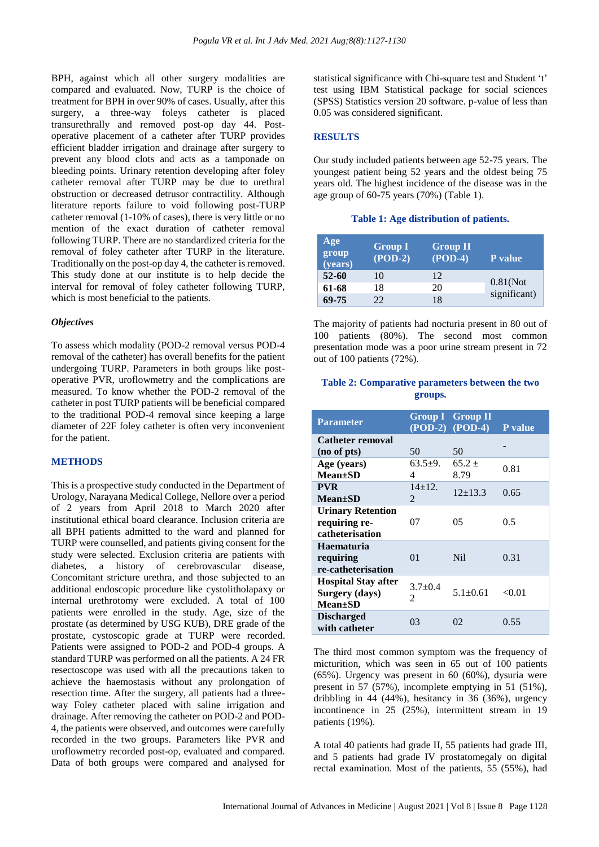BPH, against which all other surgery modalities are compared and evaluated. Now, TURP is the choice of treatment for BPH in over 90% of cases. Usually, after this surgery, a three-way foleys catheter is placed transurethrally and removed post-op day 44. Postoperative placement of a catheter after TURP provides efficient bladder irrigation and drainage after surgery to prevent any blood clots and acts as a tamponade on bleeding points. Urinary retention developing after foley catheter removal after TURP may be due to urethral obstruction or decreased detrusor contractility. Although literature reports failure to void following post-TURP catheter removal (1-10% of cases), there is very little or no mention of the exact duration of catheter removal following TURP. There are no standardized criteria for the removal of foley catheter after TURP in the literature. Traditionally on the post-op day 4, the catheter is removed. This study done at our institute is to help decide the interval for removal of foley catheter following TURP, which is most beneficial to the patients.

#### *Objectives*

To assess which modality (POD-2 removal versus POD-4 removal of the catheter) has overall benefits for the patient undergoing TURP. Parameters in both groups like postoperative PVR, uroflowmetry and the complications are measured. To know whether the POD-2 removal of the catheter in post TURP patients will be beneficial compared to the traditional POD-4 removal since keeping a large diameter of 22F foley catheter is often very inconvenient for the patient.

#### **METHODS**

This is a prospective study conducted in the Department of Urology, Narayana Medical College, Nellore over a period of 2 years from April 2018 to March 2020 after institutional ethical board clearance. Inclusion criteria are all BPH patients admitted to the ward and planned for TURP were counselled, and patients giving consent for the study were selected. Exclusion criteria are patients with diabetes, a history of cerebrovascular disease, Concomitant stricture urethra, and those subjected to an additional endoscopic procedure like cystolitholapaxy or internal urethrotomy were excluded. A total of 100 patients were enrolled in the study. Age, size of the prostate (as determined by USG KUB), DRE grade of the prostate, cystoscopic grade at TURP were recorded. Patients were assigned to POD-2 and POD-4 groups. A standard TURP was performed on all the patients. A 24 FR resectoscope was used with all the precautions taken to achieve the haemostasis without any prolongation of resection time. After the surgery, all patients had a threeway Foley catheter placed with saline irrigation and drainage. After removing the catheter on POD-2 and POD-4, the patients were observed, and outcomes were carefully recorded in the two groups. Parameters like PVR and uroflowmetry recorded post-op, evaluated and compared. Data of both groups were compared and analysed for statistical significance with Chi-square test and Student 't' test using IBM Statistical package for social sciences (SPSS) Statistics version 20 software. p-value of less than 0.05 was considered significant.

#### **RESULTS**

Our study included patients between age 52-75 years. The youngest patient being 52 years and the oldest being 75 years old. The highest incidence of the disease was in the age group of 60-75 years (70%) (Table 1).

#### **Table 1: Age distribution of patients.**

| Age<br>group<br>(years) | <b>Group I</b><br>$(POD-2)$ | <b>Group II</b><br>$(POD-4)$ | <b>P</b> value              |
|-------------------------|-----------------------------|------------------------------|-----------------------------|
| $52 - 60$               | 10                          | 12                           |                             |
| 61-68                   | 18                          | 20                           | $0.81$ (Not<br>significant) |
| 69-75                   | フフ                          | 18                           |                             |

The majority of patients had nocturia present in 80 out of 100 patients (80%). The second most common presentation mode was a poor urine stream present in 72 out of 100 patients (72%).

#### **Table 2: Comparative parameters between the two groups.**

| <b>Parameter</b>           |                | <b>Group I</b> Group II |                |
|----------------------------|----------------|-------------------------|----------------|
|                            |                | $(POD-2) (POD-4)$       | <b>P</b> value |
| Catheter removal           |                |                         |                |
| (no of pts)                | 50             | 50                      |                |
| Age (years)                | 63.5 $\pm$ 9.  | $65.2 +$                | 0.81           |
| $Mean \pm SD$              | 4              | 8.79                    |                |
| <b>PVR</b>                 | $14+12.$       |                         |                |
| <b>Mean</b> ±SD            | $\mathfrak{D}$ | $12+13.3$               | 0.65           |
| <b>Urinary Retention</b>   |                |                         |                |
| requiring re-              | 07             | 05                      | 0.5            |
| catheterisation            |                |                         |                |
| <b>Haematuria</b>          |                |                         |                |
| requiring                  | 01             | N <sub>il</sub>         | 0.31           |
| re-catheterisation         |                |                         |                |
| <b>Hospital Stay after</b> |                |                         |                |
| Surgery (days)             | $3.7 + 0.4$    | $5.1 \pm 0.61$          | < 0.01         |
| <b>Mean</b> ±SD            | $\mathfrak{D}$ |                         |                |
| <b>Discharged</b>          |                |                         |                |
| with catheter              | 03             | 02                      | 0.55           |

The third most common symptom was the frequency of micturition, which was seen in 65 out of 100 patients (65%). Urgency was present in 60 (60%), dysuria were present in 57 (57%), incomplete emptying in 51 (51%), dribbling in 44 (44%), hesitancy in 36 (36%), urgency incontinence in 25 (25%), intermittent stream in 19 patients (19%).

A total 40 patients had grade II, 55 patients had grade III, and 5 patients had grade IV prostatomegaly on digital rectal examination. Most of the patients, 55 (55%), had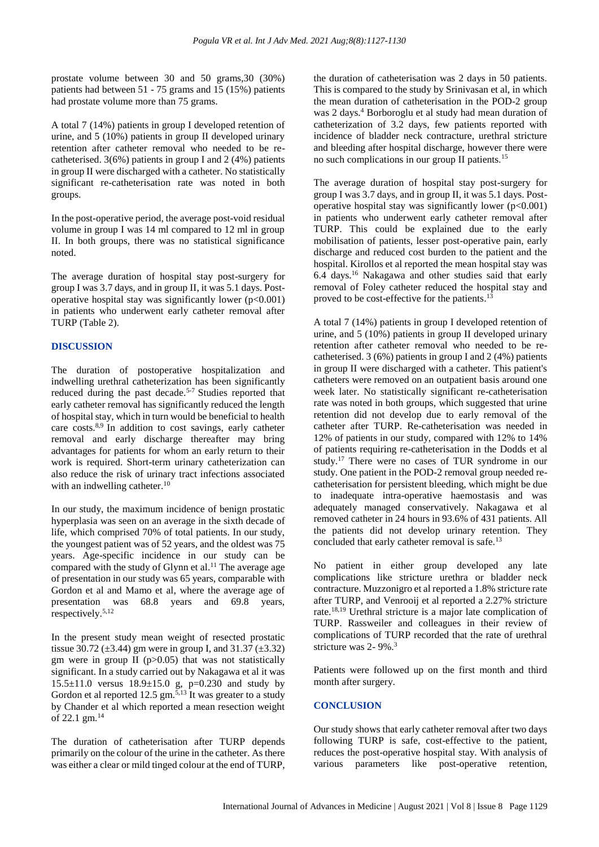prostate volume between 30 and 50 grams,30 (30%) patients had between 51 - 75 grams and 15 (15%) patients had prostate volume more than 75 grams.

A total 7 (14%) patients in group I developed retention of urine, and 5 (10%) patients in group II developed urinary retention after catheter removal who needed to be recatheterised. 3(6%) patients in group I and 2 (4%) patients in group II were discharged with a catheter. No statistically significant re-catheterisation rate was noted in both groups.

In the post-operative period, the average post-void residual volume in group I was 14 ml compared to 12 ml in group II. In both groups, there was no statistical significance noted.

The average duration of hospital stay post-surgery for group I was 3.7 days, and in group II, it was 5.1 days. Postoperative hospital stay was significantly lower  $(p<0.001)$ in patients who underwent early catheter removal after TURP (Table 2).

# **DISCUSSION**

The duration of postoperative hospitalization and indwelling urethral catheterization has been significantly reduced during the past decade. 5-7 Studies reported that early catheter removal has significantly reduced the length of hospital stay, which in turn would be beneficial to health care costs.<sup>8,9</sup> In addition to cost savings, early catheter removal and early discharge thereafter may bring advantages for patients for whom an early return to their work is required. Short-term urinary catheterization can also reduce the risk of urinary tract infections associated with an indwelling catheter.<sup>10</sup>

In our study, the maximum incidence of benign prostatic hyperplasia was seen on an average in the sixth decade of life, which comprised 70% of total patients. In our study, the youngest patient was of 52 years, and the oldest was 75 years. Age-specific incidence in our study can be compared with the study of Glynn et al.<sup>11</sup> The average age of presentation in our study was 65 years, comparable with Gordon et al and Mamo et al, where the average age of presentation was 68.8 years and 69.8 years, respectively.5,12

In the present study mean weight of resected prostatic tissue 30.72 ( $\pm$ 3.44) gm were in group I, and 31.37 ( $\pm$ 3.32) gm were in group II ( $p > 0.05$ ) that was not statistically significant. In a study carried out by Nakagawa et al it was 15.5±11.0 versus 18.9±15.0 g, p=0.230 and study by Gordon et al reported 12.5 gm.<sup>5,13</sup> It was greater to a study by Chander et al which reported a mean resection weight of 22.1 gm.<sup>14</sup>

The duration of catheterisation after TURP depends primarily on the colour of the urine in the catheter. As there was either a clear or mild tinged colour at the end of TURP, the duration of catheterisation was 2 days in 50 patients. This is compared to the study by Srinivasan et al, in which the mean duration of catheterisation in the POD-2 group was 2 days.<sup>4</sup> Borboroglu et al study had mean duration of catheterization of 3.2 days, few patients reported with incidence of bladder neck contracture, urethral stricture and bleeding after hospital discharge, however there were no such complications in our group II patients.<sup>15</sup>

The average duration of hospital stay post-surgery for group I was 3.7 days, and in group II, it was 5.1 days. Postoperative hospital stay was significantly lower (p<0.001) in patients who underwent early catheter removal after TURP. This could be explained due to the early mobilisation of patients, lesser post-operative pain, early discharge and reduced cost burden to the patient and the hospital. Kirollos et al reported the mean hospital stay was 6.4 days.<sup>16</sup> Nakagawa and other studies said that early removal of Foley catheter reduced the hospital stay and proved to be cost-effective for the patients.<sup>13</sup>

A total 7 (14%) patients in group I developed retention of urine, and 5 (10%) patients in group II developed urinary retention after catheter removal who needed to be recatheterised. 3 (6%) patients in group I and 2 (4%) patients in group II were discharged with a catheter. This patient's catheters were removed on an outpatient basis around one week later. No statistically significant re-catheterisation rate was noted in both groups, which suggested that urine retention did not develop due to early removal of the catheter after TURP. Re-catheterisation was needed in 12% of patients in our study, compared with 12% to 14% of patients requiring re-catheterisation in the Dodds et al study.<sup>17</sup> There were no cases of TUR syndrome in our study. One patient in the POD-2 removal group needed recatheterisation for persistent bleeding, which might be due to inadequate intra-operative haemostasis and was adequately managed conservatively. Nakagawa et al removed catheter in 24 hours in 93.6% of 431 patients. All the patients did not develop urinary retention. They concluded that early catheter removal is safe.<sup>13</sup>

No patient in either group developed any late complications like stricture urethra or bladder neck contracture. Muzzonigro et al reported a 1.8% stricture rate after TURP, and Venrooij et al reported a 2.27% stricture rate.18,19 Urethral stricture is a major late complication of TURP. Rassweiler and colleagues in their review of complications of TURP recorded that the rate of urethral stricture was 2- 9%. 3

Patients were followed up on the first month and third month after surgery.

# **CONCLUSION**

Our study shows that early catheter removal after two days following TURP is safe, cost-effective to the patient, reduces the post-operative hospital stay. With analysis of various parameters like post-operative retention,